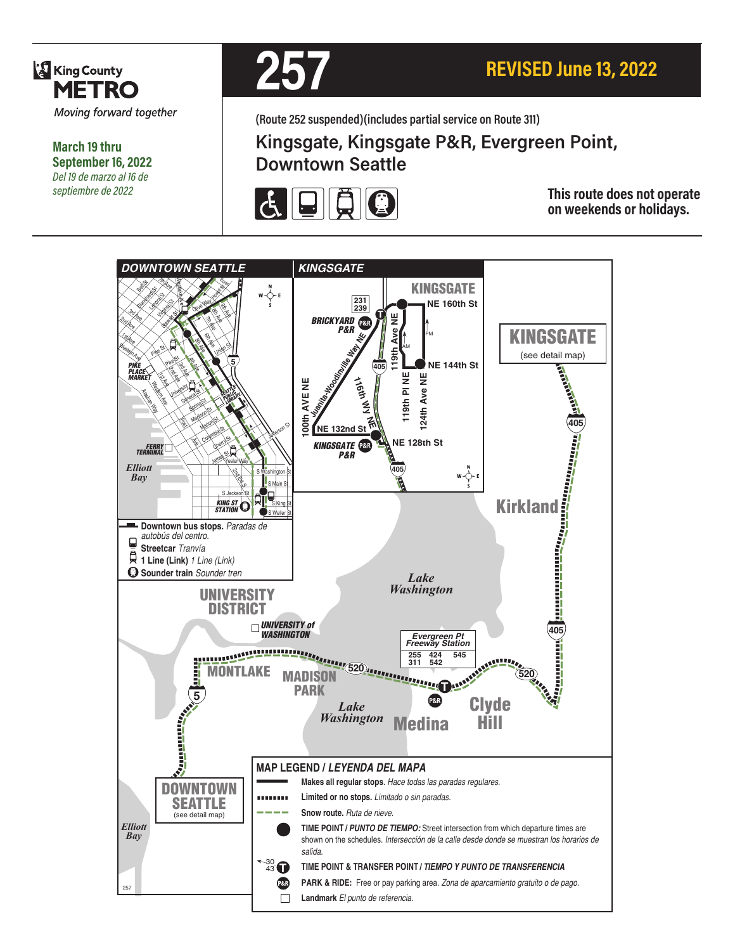

**March 19 thru September 16, 2022** *Del 19 de marzo al 16 de septiembre de 2022*



**(Route 252 suspended)(includes partial service on Route 311)**

# **Kingsgate, Kingsgate P&R, Evergreen Point, Downtown Seattle**



**This route does not operate on weekends or holidays.**